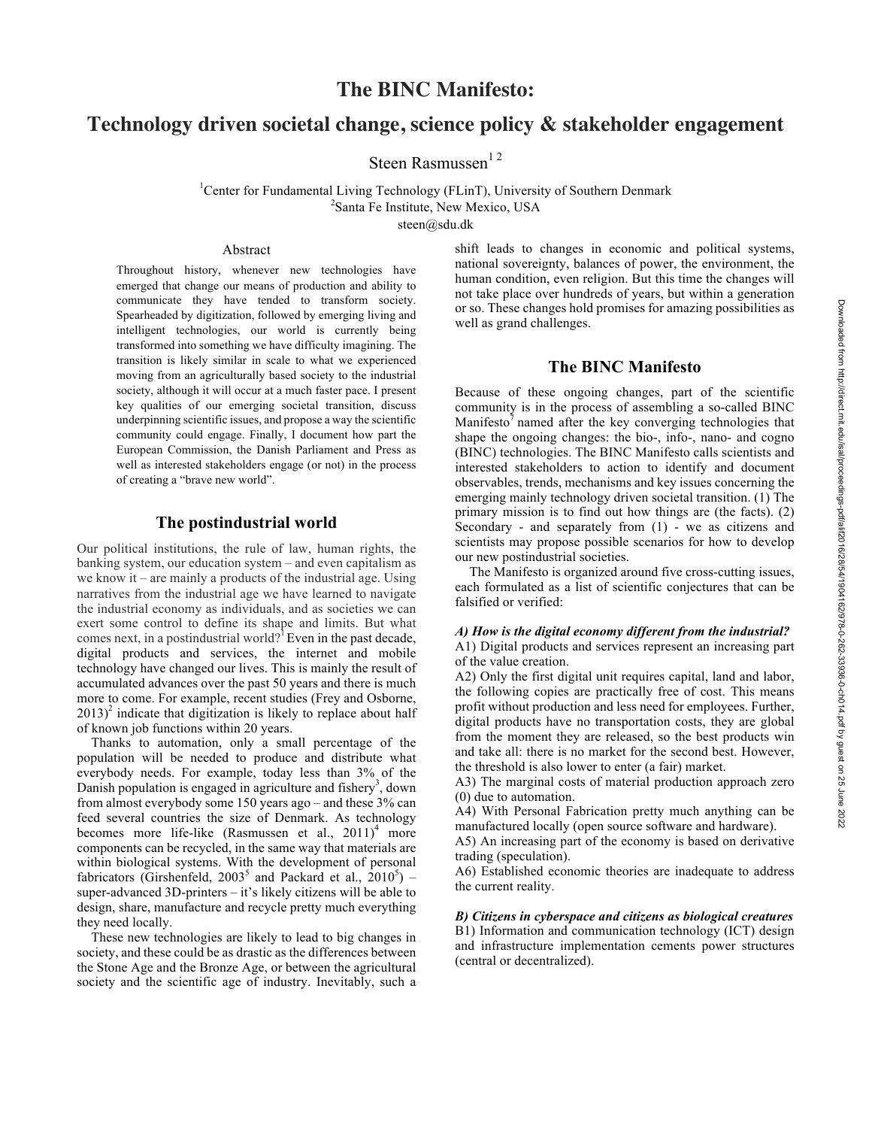# **The BINC Manifesto:**

## **Technology driven societal change, science policy & stakeholder engagement**

Steen Rasmussen<sup>12</sup>

<sup>1</sup>Center for Fundamental Living Technology (FLinT), University of Southern Denmark <sup>2</sup>Santa Fe Institute, New Mexico, USA

steen@sdu.dk

## Abstract

Throughout history, whenever new technologies have emerged that change our means of production and ability to communicate they have tended to transform society. Spearheaded by digitization, followed by emerging living and intelligent technologies, our world is currently being transformed into something we have difficulty imagining. The transition is likely similar in scale to what we experienced moving from an agriculturally based society to the industrial society, although it will occur at a much faster pace. I present key qualities of our emerging societal transition, discuss underpinning scientific issues, and propose a way the scientific community could engage. Finally, I document how part the European Commission, the Danish Parliament and Press as well as interested stakeholders engage (or not) in the process of creating a "brave new world".

## **The postindustrial world**

Our political institutions, the rule of law, human rights, the banking system, our education system – and even capitalism as we know it – are mainly a products of the industrial age. Using narratives from the industrial age we have learned to navigate the industrial economy as individuals, and as societies we can exert some control to define its shape and limits. But what comes next, in a postindustrial world?<sup>1</sup> Even in the past decade, digital products and services, the internet and mobile technology have changed our lives. This is mainly the result of accumulated advances over the past 50 years and there is much more to come. For example, recent studies (Frey and Osborne,  $2013$ <sup>2</sup> indicate that digitization is likely to replace about half of known job functions within 20 years.

Thanks to automation, only a small percentage of the population will be needed to produce and distribute what everybody needs. For example, today less than 3% of the Danish population is engaged in agriculture and fishery<sup>3</sup>, down from almost everybody some 150 years ago – and these 3% can feed several countries the size of Denmark. As technology becomes more life-like (Rasmussen et al.,  $2011$ )<sup>4</sup> more components can be recycled, in the same way that materials are within biological systems. With the development of personal fabricators (Girshenfeld, 2003<sup>5</sup> and Packard et al.,  $2010^5$ ) – super-advanced 3D-printers – it's likely citizens will be able to design, share, manufacture and recycle pretty much everything they need locally.

These new technologies are likely to lead to big changes in society, and these could be as drastic as the differences between the Stone Age and the Bronze Age, or between the agricultural society and the scientific age of industry. Inevitably, such a

shift leads to changes in economic and political systems, national sovereignty, balances of power, the environment, the human condition, even religion. But this time the changes will not take place over hundreds of years, but within a generation or so. These changes hold promises for amazing possibilities as well as grand challenges.

## **The BINC Manifesto**

Because of these ongoing changes, part of the scientific community is in the process of assembling a so-called BINC  $M$ anifesto $\theta$  named after the key converging technologies that shape the ongoing changes: the bio-, info-, nano- and cogno (BINC) technologies. The BINC Manifesto calls scientists and interested stakeholders to action to identify and document observables, trends, mechanisms and key issues concerning the emerging mainly technology driven societal transition. (1) The primary mission is to find out how things are (the facts). (2) Secondary - and separately from (1) - we as citizens and scientists may propose possible scenarios for how to develop our new postindustrial societies.

The Manifesto is organized around five cross-cutting issues, each formulated as a list of scientific conjectures that can be falsified or verified:

#### *A) How is the digital economy different from the industrial?*

A1) Digital products and services represent an increasing part of the value creation.

A2) Only the first digital unit requires capital, land and labor, the following copies are practically free of cost. This means profit without production and less need for employees. Further, digital products have no transportation costs, they are global from the moment they are released, so the best products win and take all: there is no market for the second best. However, the threshold is also lower to enter (a fair) market.

A3) The marginal costs of material production approach zero (0) due to automation.

A4) With Personal Fabrication pretty much anything can be manufactured locally (open source software and hardware).

A5) An increasing part of the economy is based on derivative trading (speculation).

A6) Established economic theories are inadequate to address the current reality.

#### *B) Citizens in cyberspace and citizens as biological creatures* B1) Information and communication technology (ICT) design and infrastructure implementation cements power structures (central or decentralized).